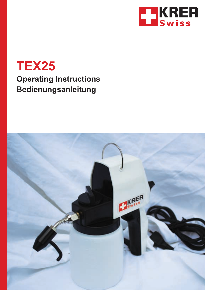

# **TEX25 Operating Instructions Bedienungsanleitung**

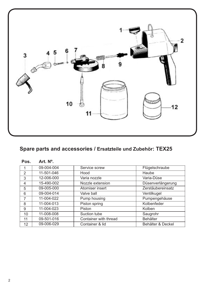

#### **Spare parts and accessories / Ersatzteile und Zubehör: TEX25**

| Pos.            | Art. N°.   |                       |                   |
|-----------------|------------|-----------------------|-------------------|
| 1               | 09-004-004 | Service screw         | Flügelschraube    |
| $\overline{2}$  | 11-501-046 | Hood                  | Haube             |
| 3               | 12-006-000 | Varia nozzle          | Varia-Düse        |
| 4               | 15-490-002 | Nozzle extension      | Düsenverlängerung |
| 5               | 09-005-000 | Atomiser insert       | Zerstäubereinsatz |
| 6               | 09-004-014 | Valve ball            | Ventilkugel       |
| 7               | 11-004-022 | Pump housing          | Pumpengehäuse     |
| 8               | 11-004-013 | Piston spring         | Kolbenfeder       |
| 9               | 11-004-023 | Piston                | Kolben            |
| 10              | 11-008-008 | Suction tube          | Saugrohr          |
| 11              | 09-501-016 | Container with thread | Behälter          |
| 12 <sup>2</sup> | 09-006-029 | Container & lid       | Behälter & Deckel |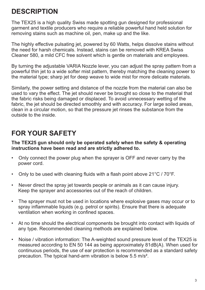## **DESCRIPTION**

The TEX25 is a high quality Swiss made spotting gun designed for professional garment and textile producers who require a reliable powerful hand held solution for removing stains such as machine oil, pen, make up and the like.

The highly effective pulsating jet, powered by 60 Watts, helps dissolve stains without the need for harsh chemicals. Instead, stains can be removed with KREA Swiss Cleaner 580, a mild CFC free solvent which is gentle on materials and employees.

By turning the adjustable VARIA Nozzle lever, you can adjust the spray pattern from a powerful thin jet to a wide softer mist pattern, thereby matching the cleaning power to the material type; sharp jet for deep weave to wide mist for more delicate materials.

Similarly, the power setting and distance of the nozzle from the material can also be used to vary the effect. The jet should never be brought so close to the material that the fabric risks being damaged or displaced. To avoid unnecessary wetting of the fabric, the jet should be directed smoothly and with accuracy. For large soiled areas, clean in a circular motion, so that the pressure jet rinses the substance from the outside to the inside.

## **FOR YOUR SAFETY**

**The TEX25 gun should only be operated safely when the safety & operating instructions have been read and are strictly adhered to.**

- Only connect the power plug when the sprayer is OFF and never carry by the power cord.
- Only to be used with cleaning fluids with a flash point above 21°C / 70°F.
- Never direct the spray jet towards people or animals as it can cause injury. Keep the sprayer and accessories out of the reach of children.
- The sprayer must not be used in locations where explosive gases may occur or to spray inflammable liquids (e.g. petrol or spirits). Ensure that there is adequate ventilation when working in confined spaces.
- At no time should the electrical components be brought into contact with liquids of any type. Recommended cleaning methods are explained below.
- Noise / vibration information: The A-weighted sound pressure level of the TEX25 is measured according to EN 50 144 as being approximately 81dB(A). When used for continuous periods, the use of ear protection is recommended as a standard safety precaution. The typical hand-arm vibration is below 5.5 m/s².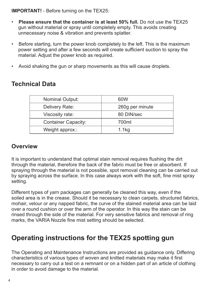**IMPORTANT!** - Before turning on the TEX25:

- **Please ensure that the container is at least 50% full.** Do not use the TEX25 gun without material or spray until completely empty. This avoids creating unnecessary noise & vibration and prevents splatter.
- Before starting, turn the power knob completely to the left. This is the maximum power setting and after a few seconds will create sufficient suction to spray the material. Adjust the power knob as required.
- Avoid shaking the gun or sharp movements as this will cause droplets.

## **Technical Data**

| <b>Nominal Output:</b>     | 60W             |
|----------------------------|-----------------|
| Delivery Rate:             | 260g per minute |
| Viscosity rate:            | 80 DIN/sec      |
| <b>Container Capacity:</b> | 700ml           |
| Weight approx.:            | $1.1$ kg        |
|                            |                 |

### **Overview**

It is important to understand that optimal stain removal requires flushing the dirt through the material, therefore the back of the fabric must be free or absorbent. If spraying through the material is not possible, spot removal cleaning can be carried out by spraying across the surface. In this case always work with the soft, fine mist spray setting.

Different types of yarn packages can generally be cleaned this way, even if the soiled area is in the crease. Should it be necessary to clean carpets, structured fabrics, mohair, velour or any napped fabric, the curve of the stained material area can be laid over a round cushion or over the arm of the operator. In this way the stain can be rinsed through the side of the material. For very sensitive fabrics and removal of ring marks, the VARIA Nozzle fine mist setting should be selected.

## **Operating instructions for the TEX25 spotting gun**

The Operating and Maintenance Instructions are provided as guidance only. Differing characteristics of various types of woven and knitted materials may make it first necessary to carry out a test on a remnant or on a hidden part of an article of clothing in order to avoid damage to the material.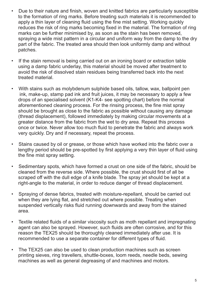- Due to their nature and finish, woven and knitted fabrics are particularly susceptible to the formation of ring marks. Before treating such materials it is recommended to apply a thin layer of cleaning fluid using the fine mist setting. Working quickly reduces the risk of ring marks becoming fixed in the material. The formation of ring marks can be further minimised by, as soon as the stain has been removed, spraying a wide mist pattern in a circular and uniform way from the damp to the dry part of the fabric. The treated area should then look uniformly damp and without patches.
- If the stain removal is being carried out on an ironing board or extraction table using a damp fabric underlay, this material should be moved after treatment to avoid the risk of dissolved stain residues being transferred back into the next treated material.
- With stains such as molybdenum sulphide based oils, tallow, wax, ballpoint pen ink, make-up, stamp pad ink and fruit juices, it may be necessary to apply a few drops of an specialised solvent (K1-K4- see spotting chart) before the normal aforementioned cleaning process. For the rinsing process, the fine mist spray should be brought as close to the fabric as possible without causing any damage (thread displacement), followed immediately by making circular movements at a greater distance from the fabric from the wet to dry area. Repeat this process once or twice. Never allow too much fluid to penetrate the fabric and always work very quickly. Dry and if necessary, repeat the process.
- Stains caused by oil or grease, or those which have worked into the fabric over a lengthy period should be pre-spotted by first applying a very thin layer of fluid using the fine mist spray setting.
- Sedimentary spots, which have formed a crust on one side of the fabric, should be cleaned from the reverse side. Where possible, the crust should first of all be scraped off with the dull edge of a knife blade. The spray jet should be kept at a right-angle to the material, in order to reduce danger of thread displacement.
- Spraying of dense fabrics, treated with moisture-repellant, should be carried out when they are lying flat, and stretched out where possible. Treating when suspended vertically risks fluid running downwards and away from the stained area.
- Textile related fluids of a similar viscosity such as moth repellant and impregnating agent can also be sprayed. However, such fluids are often corrosive, and for this reason the TEX25 should be thoroughly cleaned immediately after use. It is recommended to use a separate container for different types of fluid.
- The TEX25 can also be used to clean production machines such as screen printing sieves, ring travellers, shuttle-boxes, loom reeds, needle beds, sewing machines as well as general degreasing of and machines and motors.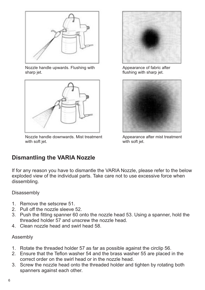

Nozzle handle upwards. Flushing with sharp jet.



Nozzle handle downwards. Mist treatment with soft jet.



Appearance of fabric after flushing with sharp jet.



Appearance after mist treatment with soft jet.

## **Dismantling the VARIA Nozzle**

If for any reason you have to dismantle the VARIA Nozzle, please refer to the below exploded view of the individual parts. Take care not to use excessive force when dissembling.

#### Disassembly

- 1. Remove the setscrew 51.
- 2. Pull off the nozzle sleeve 52.
- 3. Push the fitting spanner 60 onto the nozzle head 53. Using a spanner, hold the threaded holder 57 and unscrew the nozzle head.
- 4. Clean nozzle head and swirl head 58.

#### Assembly

- 1. Rotate the threaded holder 57 as far as possible against the circlip 56.
- 2. Ensure that the Teflon washer 54 and the brass washer 55 are placed in the correct order on the swirl head or in the nozzle head.
- 3. Screw the nozzle head onto the threaded holder and tighten by rotating both spanners against each other.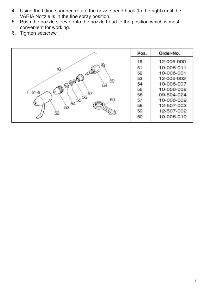- 4. Using the fitting spanner, rotate the nozzle head back (to the right) until the VARIA Nozzle is in the fine spray position.
- 5. Push the nozzle sleeve onto the nozzle head to the position which is most convenient for working.
- 6. Tighten setscrew.

|                                      | Pos. | Order-No.  |
|--------------------------------------|------|------------|
|                                      | 16   | 12-006-000 |
| 16                                   | 51   | 10-006-011 |
| العنكم                               | 52   | 10-006-001 |
|                                      | 53   | 12-006-002 |
| $-9000$<br>59<br>58                  | 54   | 10-006-007 |
|                                      | 55   | 10-006-008 |
| 51 <sub>c</sub><br>$55\frac{66}{57}$ | 56   | 09-504-024 |
| 60                                   | 57   | 10-006-009 |
| 54<br>53                             | 58   | 12-507-003 |
| 52                                   | 59   | 12-507-002 |
|                                      | 60   | 10-006-010 |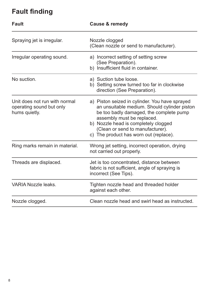## **Fault finding**

| <b>Fault</b>                                                               | Cause & remedy                                                                                                                                                                                                                                                                                |  |
|----------------------------------------------------------------------------|-----------------------------------------------------------------------------------------------------------------------------------------------------------------------------------------------------------------------------------------------------------------------------------------------|--|
| Spraying jet is irregular.                                                 | Nozzle clogged<br>(Clean nozzle or send to manufacturer).                                                                                                                                                                                                                                     |  |
| Irregular operating sound.                                                 | a) Incorrect setting of setting screw<br>(See Preparation).<br>b) Insufficient fluid in container.                                                                                                                                                                                            |  |
| No suction.                                                                | a) Suction tube loose.<br>b) Setting screw turned too far in clockwise<br>direction (See Preparation).                                                                                                                                                                                        |  |
| Unit does not run with normal<br>operating sound but only<br>hums quietly. | a) Piston seized in cylinder. You have sprayed<br>an unsuitable medium. Should cylinder piston<br>be too badly damaged, the complete pump<br>assembly must be replaced.<br>b) Nozzle head is completely clogged<br>(Clean or send to manufacturer).<br>c) The product has worn out (replace). |  |
| Ring marks remain in material.                                             | Wrong jet setting, incorrect operation, drying<br>not carried out properly.                                                                                                                                                                                                                   |  |
| Threads are displaced.                                                     | Jet is too concentrated, distance between<br>fabric is not sufficient, angle of spraying is<br>incorrect (See Tips).                                                                                                                                                                          |  |
| <b>VARIA Nozzle leaks.</b>                                                 | Tighten nozzle head and threaded holder<br>against each other.                                                                                                                                                                                                                                |  |
| Nozzle clogged.                                                            | Clean nozzle head and swirl head as instructed.                                                                                                                                                                                                                                               |  |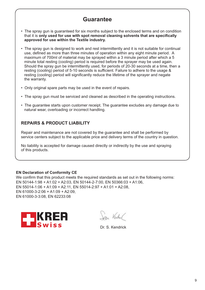### **Guarantee**

- The spray gun is guaranteed for six months subject to the enclosed terms and on condition that it is **only used for use with spot removal cleaning solvents that are specifically approved for use within the Textile industry.**
- The spray gun is designed to work and rest intermittently and it is not suitable for continual use, defined as more than three minutes of operation within any eight minute period. A maximum of 700ml of material may be sprayed within a 3 minute period after which a 5 minute total resting (cooling) period is required before the sprayer may be used again. Should the spray gun be intermittently used, for periods of 20-30 seconds at a time, then a resting (cooling) period of 5-10 seconds is sufficient. Failure to adhere to the usage & resting (cooling) period will significantly reduce the lifetime of the sprayer and negate the warranty.
- Only original spare parts may be used in the event of repairs.
- The spray gun must be serviced and cleaned as described in the operating instructions.
- The guarantee starts upon customer receipt. The guarantee excludes any damage due to natural wear, overloading or incorrect handling.

#### **REPAIRS & PRODUCT LIABILITY**

Repair and maintenance are not covered by the guarantee and shall be performed by service centers subject to the applicable price and delivery terms of the country in question.

No liability is accepted for damage caused directly or indirectly by the use and spraying of this products.

#### **EN Declaration of Conformity CE**

We confirm that this product meets the required standards as set out in the following norms: EN 50144-1:98 + A1:02 + A2:03, EN 50144-2-7:00, EN 50366:03 + A1:06, EN 55014-1:06 + A1:09 + A2:11, EN 55014-2:97 + A1:01 + A2:08, EN 61000-3-2:06 + A1:09 + A2:09, EN 61000-3-3:08, EN 62233:08



Ca. Vadul

Dr. S. Kendrick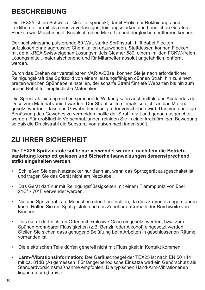## **BESCHREIBUNG**

Die TEX25 ist ein Schweizer Quailitätsprodukt, damit Profis der Bekleidungs-und Textilhersteller mittels eines zuverlässigen, leistungsstarken und handlichen Gerätes Flecken wie Maschinenöl, Kugelschreiber, Make-Up und dergleichen entfernen können.

Der hochwirksame pulsierende 60 Watt starke Sprühstrahl hilft dabei Flecken aufzulösen ohne aggressive Chemikalien anzuwenden. Stattdessen können Flecken mit dem KREA Swiss-eigenen Lösungsmittels Cleaner 580, einem milden FCKW-freien Lösungsmittel, materialschonend und für Mitarbeiter absolut ungefährlich, entfernt werden.

Durch das Drehen der verstellbaren VARIA-Düse, können Sie je nach erforderlicher Reinigungskraft das Spritzbild von einem leistungsfähigen dünnen Strahl hin zu einem breiten weichen Spühnebel einstellen, der scharfe Strahl für tiefe Webarten bis hin zum breien Nebel für empfindliche Materialien.

Die Sprüstrahlleistung und entsprechende Wirkung kann auch mittels des Abstandes der Düse zum Material variiert warden. Der Strahl sollte niemals so dicht an das Material gesetzt werden, dass das Gewebe beschädigt oder verschoben wird. Um eine unnötige Benässung des Gewebes zu vermeiden, sollte der Strahl glatt und genau ausgerichtet werden. Für großflächig Verschmutzungen reinigen Sie in einer kreisförmigen Bewegung, so daß die Druckstrahl die Substanz von außen nach innen spült.

## **ZU IHRER SICHERHEIT**

**sanleitung komplett gelesen und Sicherheitsanweisungen demenstprechend strikt eingehalten werden. Die TEX25 Spritzpistole sollte nur verwendet werden, nachdem die Betrieb-**

- und tragen Sie das Gerät nicht am Netzkabel. Schließen Sie den Netzstecker nur dann an, wenn das Spritzgerät ausgeschaltet ist
- Das Gerät darf nur mit Reinigungsflüssigkeiten mit einem Flammpunkt von über 21C° / 70°F verwendet werden.
- Nie den Spritzstrahl auf Menschen oder Tiere richten, da dies zu Verletzungen führen kann. Halten Sie die Spritzpistole und das Zubehör außerhalb der Reichweite von Kindern.
- Das Gerät darf nicht an Orten mit explosive Gase eingesetzt werden, bzw. zum Spühen brennbarer Flüssigkeiten (z.B. Benzin oder Alkohol) eingesetzt werden. Stellen Sie sicher, dass genügend Belüftung beim Arbeiten in geschlossenen Räume vorhanden ist.
- Die elektrischen Teile dürfen generell nicht mit Flüssigkeit in Kontakt kommen.
- **Lärm-/Vibrationsinformation:** Der Geräuschpegel der TEX25 ist nach EN 50 144 mit ca. 81dB (A) gemessen. Für längerperiodische Einsätze wird ein Gehörschutz als Standardvorsichtsmaßnahme empfohlen. Die typischen Hand-Arm-Vibrationenen liegen unter 5,5 m/s <sup>2</sup>.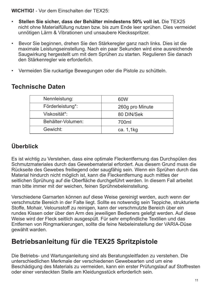**WICHTIG!** - Vor dem Einschalten der TEX25:

- **Stellen Sie sicher, dass der Behälter mindestens 50% voll ist.** Die TEX25 nicht ohne Materialfüllung nutzen bzw. bis zum Ende leer sprühen. Dies vermeidet unnötigen Lärm & Vibrationen und unsaubere Klecksspritzer.
- Bevor Sie beginnen, drehen Sie den Stärkeregler ganz nach links. Dies ist die maximale Leistungseinstellung. Nach ein paar Sekunden wird eine ausreichende Saugwirkung hergestellt um mit dem Sprühen zu starten. Regulieren Sie danach den Stärkenregler wie erforderlich.
- Vermeiden Sie ruckartige Bewegungen oder die Pistole zu schütteln.

| Technische Daten |
|------------------|
|------------------|

| Nennleistung:     | 60W             |
|-------------------|-----------------|
| Förderleistung*:  | 260g pro Minute |
| Viskosität*:      | 80 DIN/Sek      |
| Behälter-Volumen: | 700ml           |
| Gewicht:          | ca. 1,1kg       |

## **Überblick**

Es ist wichtig zu Verstehen, dass eine optimale Fleckentfernung das Durchspülen des Schmutzmateriales durch das Gewebematerial erfordert. Aus diesem Grund muss die Rückseite des Gewebes freiliegend oder saugfähig sein. Wenn ein Sprühen durch das Material hindurch nicht möglich ist, kann die Fleckentfernung auch mittles der seitlichen Sprühung auf die Oberfläche durchgeführt werden. In diesem Fall arbeitet man bitte immer mit der weichen, feinen Sprühnebeleinstellung.

Verschiedene Garnarten können auf diese Weise gereinigt werden, auch wenn der verschmutzte Bereich in der Falte liegt. Sollte es notwendig sein Teppiche, strukturierte Stoffe, Mohair, Veloursstoff zu reinigen, kann der verschmutzte Bereich über ein rundes Kissen oder über den Arm des jeweiligen Bedieners gelefgt werden. Auf diese Weise wird der Fleck seitlich ausgespült. Für sehr empfindliche Textilien und das Entfernen von Ringmarkierungen, sollte die feine Nebeleinstellung der VARIA-Düse gewählt warden.

## **Betriebsanleitung für die TEX25 Spritzpistole**

Die Betriebs- und Wartunganleitung sind als Beratungsleitfaden zu verstehen. Die unterschiedlichen Merkmale der verschiedenen Gewebearten und um eine Beschädigung des Materials zu vermeiden, kann ein erster Prüfungslauf auf Stoffresten oder einer versteckten Stelle am Kleidungsstück erforderlich sein.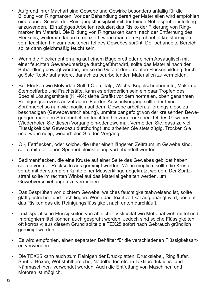- Aufgrund ihrer Machart sind Gewebe und Gewirke besonders anfällig für die Bildung von Ringmarken. Vor der Behandlung derartiger Materialien wird empfohlen, eine dünne Schicht der Reinigungsflüssigkeit mit der feinen Nebelsprüheinstellung anzuwenden. Ein zügiges Arbeiten reduziert das Risiko der Fixierung von Ring marken im Material. Die Bildung von Ringmarken kann, nach der Entfernung des Fleckens, weiterhin dadurch reduziert, wenn man den Sprühnebel kreisförmigen vom feuchten hin zum trockenen Tel des Gewebes sprüht. Der behandelte Bereich sollte dann gleichmäßig feucht sein.
- Wenn die Fleckenentfernung auf einem Bügelbrett oder einem Absaugtisch mit einer feuchten Gewebeunterlage durchgeführt wird, sollte das Material nach der Behandlung bewegt werden, um so die Gefahr der erneuten Fleckenbildung durch gelöste Reste auf andere, danach zu bearbeitenden Materialien zu vermeiden.
- Bei Flecken wie Molybdän-Sulfid-Ölen, Talg, Wachs, Kugelschreibertinte, Make-up, Stempelfarbe und Fruchtsäfte, kann es erforderlich sein ein paar Tropfen des Spezial Lösungsmittels (K1-K4; siehe Grafik) vor dem normalen, oben genannten Reinigungsprozess aufzutragen. Für den Ausspülvorgang sollte der feine Sprühnebel so nah wie möglich auf dem Gewebe arbeiten, allerdings diese zu beschädigen (Gewebeverschiebung), unmittelbar gefolgt von der kreisenden Bewe gungen man den Sprühnebel om feuchten hin zum trockenen Tel des Gewebes. Wiederholen Sie diesen Vorgang ein-oder zweimal. Vermeiden Sie, dass zu viel Flüssigkeit das Gewebezu durchdringt und arbeiten Sie stets zügig. Trocken Sie und, wenn nötig, wiederholen Sie den Vorgang.
- Öl-, Fettflecken, oder solche, die über einen längeren Zeitraum im Gewebe sind, sollte mit der feinen Spühnebeleinstellung vorbehandelt werden.
- Sedimentflecken, die eine Kruste auf einer Seite des Gewebes gebildet haben, sollten von der Rückseite aus gereinigt werden. Wenn möglich, sollte die Kruste vorab mit der stumpfen Kante einer Messerklinge abgekratzt werden. Der Spritz strahl sollte im rechten Winkel auf das Material gehalten werden, um Gewebverschiebungen zu vermeiden.
- Das Besprühen von dichtem Gewebe, welches feuchtigkeitsabweisend ist, sollte glatt gestrichen und flach liegen. Wenn das Textil vertikal aufgehängt wird, besteht das Risiken das die Reinigungsflüssigkeit nach unten durchläuft.
- Textilspezifische Flüssigkeiten von ähnlicher Viskosität wie Mottenabwehrmittel und Imprägniermittel können auch gesprüht werden. Jedoch sind solche Flüssigkeiten oft korrosiv; aus diesem Grund sollte die TEX25 sofort nach Gebrauch gründlich gereinigt werden.
- Es wird empfohlen, einen separaten Behälter für die verschiedenen Flüssigkeitsart en verwenden.
- Die TEX25 kann auch zum Reinigen der Druckplatten, Drucksiebe , Ringläufer, Shuttle-Boxen, Webstuhlbereiche, Nadelbetten etc. in Textilproduktions- und Nähmaschinen verwendet werden. Auch die Entfettung von Maschinen und Motoren ist möglich.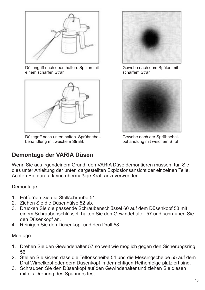

Düsengriff nach oben halten. Spülen mit einem scharfen Strahl.



Düsegriff nach unten halten. Sprühnebelbehandlung mit weichem Strahl.

Gewebe nach dem Spülen mit scharfem Strahl.



Gewebe nach der Sprühnebelbehandlung mit weichem Strahl.

### **Demontage der VARIA Düsen**

Wenn Sie aus irgendeinem Grund, den VARIA Düse demontieren müssen, tun Sie dies unter Anleitung der unten dargestellten Explosionsansicht der einzelnen Teile. Achten Sie darauf keine übermäßige Kraft anzuverwenden.

#### Demontage

- 1. Entfernen Sie die Stellschraube 51.
- 2. Ziehen Sie die Düsenhülse 52 ab.
- 3. Drücken Sie die passende Schraubenschlüssel 60 auf dem Düsenkopf 53 mit einem Schraubenschlüssel, halten Sie den Gewindehalter 57 und schrauben Sie den Düsenkopf an.
- 4. Reinigen Sie den Düsenkopf und den Drall 58.

#### Montage

- 1. Drehen Sie den Gewindehalter 57 so weit wie möglich gegen den Sicherungsring 56.
- 2. Stellen Sie sicher, dass die Teflonscheibe 54 und die Messingscheibe 55 auf dem Dral Wirbelkopf oder dem Düsenkopf in der richtigen Reihenfolge platziert sind.
- 3. Schrauben Sie den Düsenkopf auf den Gewindehalter und ziehen Sie diesen mittels Drehung des Spanners fest.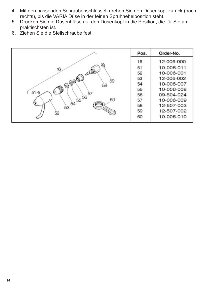- 4. Mit den passenden Schraubenschlüssel, drehen Sie den Düsenkopf zurück (nach rechts), bis die VARIA Düse in der feinen Sprühnebelposition steht.
- 5. Drücken Sie die Düsenhülse auf den Düsenkopf in die Position, die für Sie am praktischsten ist.
- 6. Ziehen Sie die Stellschraube fest.

|                                      | Pos. | Order-No.  |
|--------------------------------------|------|------------|
|                                      | 16   | 12-006-000 |
| 16                                   | 51   | 10-006-011 |
| العنكل                               | 52   | 10-006-001 |
|                                      | 53   | 12-006-002 |
| $-$ @ @ @ $-$<br>59<br>58            | 54   | 10-006-007 |
|                                      | 55   | 10-006-008 |
| 51 <sub>0</sub><br>$55\frac{66}{57}$ | 56   | 09-504-024 |
| 60                                   | 57   | 10-006-009 |
| 54<br>53                             | 58   | 12-507-003 |
| 52                                   | 59   | 12-507-002 |
|                                      | 60   | 10-006-010 |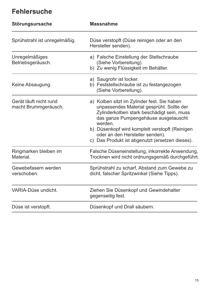## **Fehlersuche**

| Störungsursache                                | <b>Massnahme</b>                                                                                                                                                                                                                                                                                                                  |
|------------------------------------------------|-----------------------------------------------------------------------------------------------------------------------------------------------------------------------------------------------------------------------------------------------------------------------------------------------------------------------------------|
| Sprühstrahl ist unregelmäßig.                  | Düse verstopft (Düse reinigen oder an den<br>Hersteller senden).                                                                                                                                                                                                                                                                  |
| Unregelmäßiges<br>Betriebsgeräusch.            | a) Falsche Einstellung der Stellschraube<br>(Siehe Vorbereitung).<br>b) Zu wenig Flüssigkeit im Behälter.                                                                                                                                                                                                                         |
| Keine Absaugung.                               | a) Saugrohr ist locker.<br>b) Feststellschraube ist zu festangezogen<br>(Siehe Vorbereitung).                                                                                                                                                                                                                                     |
| Gerät läuft nicht rund<br>macht Brummgeräusch. | a) Kolben sitzt im Zylinder fest. Sie haben<br>unpassendes Material gesprüht. Sollte der<br>Zylinderkolben stark beschädigt sein, muss<br>das ganze Pumpengehäuse ausgetauscht<br>werden.<br>b) Düsenkopf wird komplett verstopft (Reinigen<br>oder an den Hersteller senden).<br>c) Das Produkt ist abgenutzt (ersetzen dieses). |
| Ringmarken bleiben im<br>Material.             | Falsche Düseneinstellung, inkorrekte Anwendung,<br>Trocknen wird nicht ordnungsgemäß durchgeführt.                                                                                                                                                                                                                                |
| Gewebefasern werden<br>verschoben.             | Sprühstrahl zu scharf, Abstand zum Gewebe zu<br>dicht, falscher Spritzwinkel (Siehe Tipps).                                                                                                                                                                                                                                       |
| VARIA-Düse undicht.                            | Ziehen Sie Düsenkopf und Gewindehalter<br>gegenseitig fest.                                                                                                                                                                                                                                                                       |
| Düse ist verstopft.                            | Düsenkopf und Drall säubern.                                                                                                                                                                                                                                                                                                      |